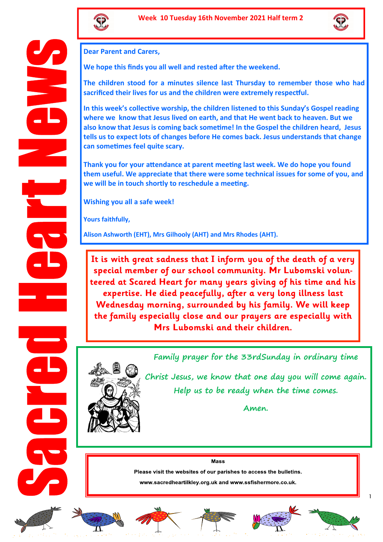



**Dear Parent and Carers,** 

**We hope this finds you all well and rested after the weekend.**

**The children stood for a minutes silence last Thursday to remember those who had sacrificed their lives for us and the children were extremely respectful.**

**In this week's collective worship, the children listened to this Sunday's Gospel reading where we know that Jesus lived on earth, and that He went back to heaven. But we also know that Jesus is coming back sometime! In the Gospel the children heard, Jesus tells us to expect lots of changes before He comes back. Jesus understands that change can sometimes feel quite scary.** 

**Thank you for your attendance at parent meeting last week. We do hope you found them useful. We appreciate that there were some technical issues for some of you, and we will be in touch shortly to reschedule a meeting.**

**Wishing you all a safe week!**

**Yours faithfully,**

**Alison Ashworth (EHT), Mrs Gilhooly (AHT) and Mrs Rhodes (AHT).** 

**It is with great sadness that I inform you of the death of a very special member of our school community. Mr Lubomski volunteered at Scared Heart for many years giving of his time and his expertise. He died peacefully, after a very long illness last Wednesday morning, surrounded by his family. We will keep the family especially close and our prayers are especially with Mrs Lubomski and their children.** 



**Family prayer for the 33rdSunday in ordinary time**

**Christ Jesus, we know that one day you will come again. Help us to be ready when the time comes.** 

**Amen.**

#### **Mass**

Please visit the websites of our parishes to access the bulletins.

www.sacredheartilkley.org.uk and www.ssfishermore.co.uk.













1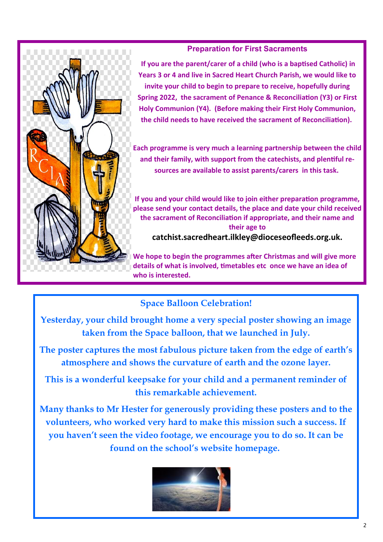### **Preparation for First Sacraments**

**If you are the parent/carer of a child (who is a baptised Catholic) in Years 3 or 4 and live in Sacred Heart Church Parish, we would like to invite your child to begin to prepare to receive, hopefully during Spring 2022, the sacrament of Penance & Reconciliation (Y3) or First Holy Communion (Y4). (Before making their First Holy Communion, the child needs to have received the sacrament of Reconciliation).**

**Each programme is very much a learning partnership between the child and their family, with support from the catechists, and plentiful resources are available to assist parents/carers in this task.**

**If you and your child would like to join either preparation programme, please send your contact details, the place and date your child received the sacrament of Reconciliation if appropriate, and their name and their age to catchist.sacredheart.ilkley@dioceseofleeds.org.uk.** 

**We hope to begin the programmes after Christmas and will give more details of what is involved, timetables etc once we have an idea of who is interested.** 

# **Space Balloon Celebration!**

**Yesterday, your child brought home a very special poster showing an image taken from the Space balloon, that we launched in July.** 

**The poster captures the most fabulous picture taken from the edge of earth's atmosphere and shows the curvature of earth and the ozone layer.** 

**This is a wonderful keepsake for your child and a permanent reminder of this remarkable achievement.** 

**Many thanks to Mr Hester for generously providing these posters and to the volunteers, who worked very hard to make this mission such a success. If you haven't seen the video footage, we encourage you to do so. It can be found on the school's website homepage.**